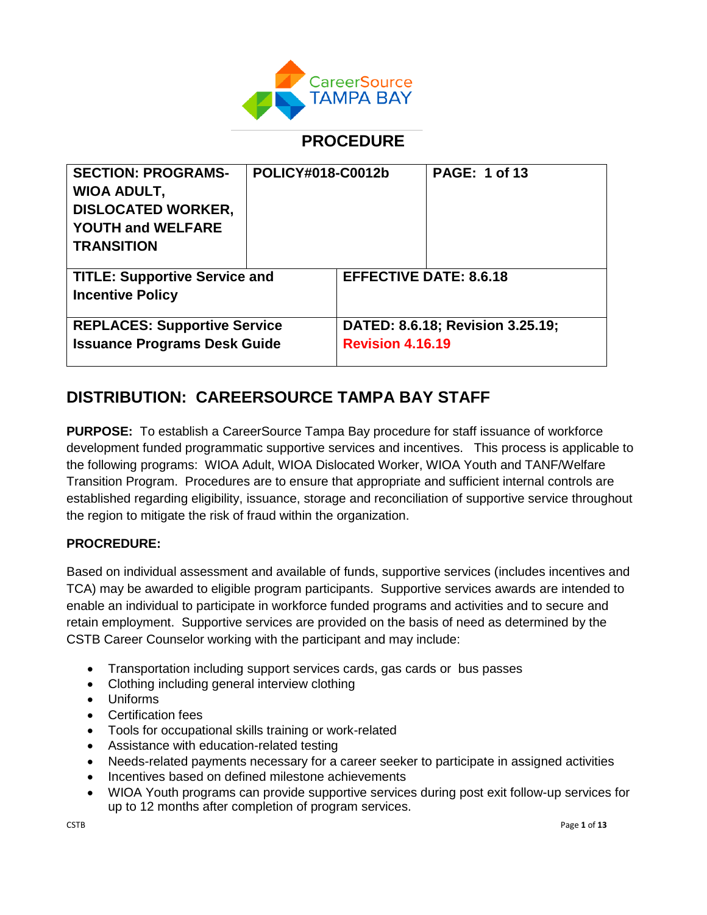

## **PROCEDURE**

| <b>SECTION: PROGRAMS-</b>            | POLICY#018-C0012b |                         | <b>PAGE: 1 of 13</b>             |
|--------------------------------------|-------------------|-------------------------|----------------------------------|
| <b>WIOA ADULT,</b>                   |                   |                         |                                  |
| <b>DISLOCATED WORKER,</b>            |                   |                         |                                  |
| <b>YOUTH and WELFARE</b>             |                   |                         |                                  |
| <b>TRANSITION</b>                    |                   |                         |                                  |
|                                      |                   |                         |                                  |
| <b>TITLE: Supportive Service and</b> |                   |                         | <b>EFFECTIVE DATE: 8.6.18</b>    |
| <b>Incentive Policy</b>              |                   |                         |                                  |
|                                      |                   |                         |                                  |
| <b>REPLACES: Supportive Service</b>  |                   |                         | DATED: 8.6.18; Revision 3.25.19; |
| <b>Issuance Programs Desk Guide</b>  |                   | <b>Revision 4.16.19</b> |                                  |
|                                      |                   |                         |                                  |

# **DISTRIBUTION: CAREERSOURCE TAMPA BAY STAFF**

**PURPOSE:** To establish a CareerSource Tampa Bay procedure for staff issuance of workforce development funded programmatic supportive services and incentives. This process is applicable to the following programs: WIOA Adult, WIOA Dislocated Worker, WIOA Youth and TANF/Welfare Transition Program. Procedures are to ensure that appropriate and sufficient internal controls are established regarding eligibility, issuance, storage and reconciliation of supportive service throughout the region to mitigate the risk of fraud within the organization.

## **PROCREDURE:**

Based on individual assessment and available of funds, supportive services (includes incentives and TCA) may be awarded to eligible program participants. Supportive services awards are intended to enable an individual to participate in workforce funded programs and activities and to secure and retain employment. Supportive services are provided on the basis of need as determined by the CSTB Career Counselor working with the participant and may include:

- Transportation including support services cards, gas cards or bus passes
- Clothing including general interview clothing
- Uniforms
- Certification fees
- Tools for occupational skills training or work-related
- Assistance with education-related testing
- Needs-related payments necessary for a career seeker to participate in assigned activities
- Incentives based on defined milestone achievements
- WIOA Youth programs can provide supportive services during post exit follow-up services for up to 12 months after completion of program services.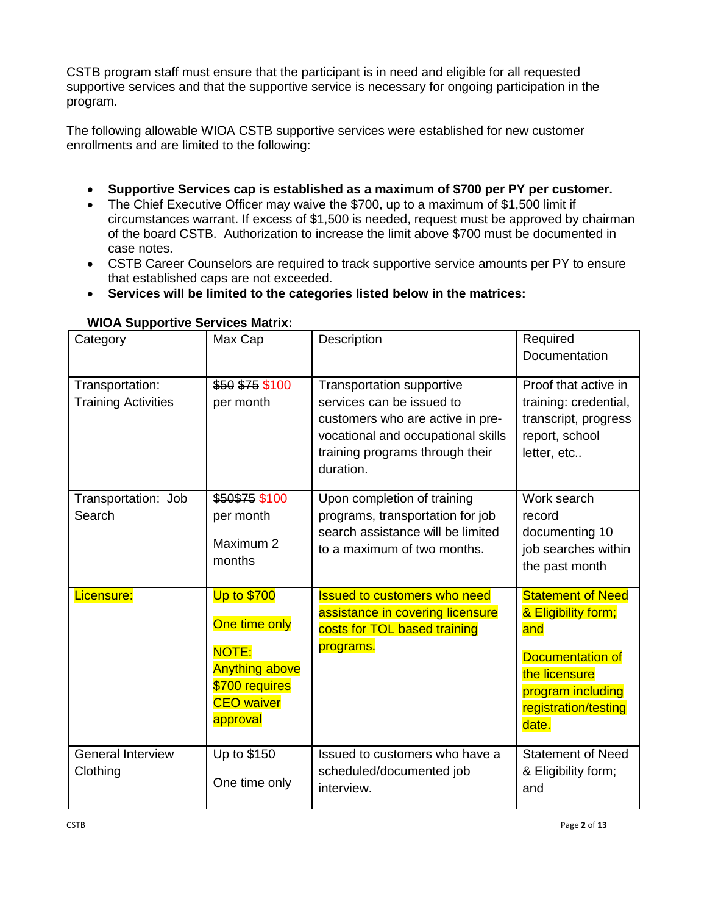CSTB program staff must ensure that the participant is in need and eligible for all requested supportive services and that the supportive service is necessary for ongoing participation in the program.

The following allowable WIOA CSTB supportive services were established for new customer enrollments and are limited to the following:

- **Supportive Services cap is established as a maximum of \$700 per PY per customer.**
- The Chief Executive Officer may waive the \$700, up to a maximum of \$1,500 limit if circumstances warrant. If excess of \$1,500 is needed, request must be approved by chairman of the board CSTB. Authorization to increase the limit above \$700 must be documented in case notes.
- CSTB Career Counselors are required to track supportive service amounts per PY to ensure that established caps are not exceeded.
- **Services will be limited to the categories listed below in the matrices:**

| Category                                      | Max Cap                                                                                                                         | Description                                                                                                                                                                             | Required<br><b>Documentation</b>                                                                                                                  |
|-----------------------------------------------|---------------------------------------------------------------------------------------------------------------------------------|-----------------------------------------------------------------------------------------------------------------------------------------------------------------------------------------|---------------------------------------------------------------------------------------------------------------------------------------------------|
| Transportation:<br><b>Training Activities</b> | \$50 \$75 \$100<br>per month                                                                                                    | <b>Transportation supportive</b><br>services can be issued to<br>customers who are active in pre-<br>vocational and occupational skills<br>training programs through their<br>duration. | Proof that active in<br>training: credential,<br>transcript, progress<br>report, school<br>letter, etc                                            |
| Transportation: Job<br>Search                 | \$50\$75 \$100<br>per month<br>Maximum 2<br>months                                                                              | Upon completion of training<br>programs, transportation for job<br>search assistance will be limited<br>to a maximum of two months.                                                     | Work search<br>record<br>documenting 10<br>job searches within<br>the past month                                                                  |
| Licensure:                                    | <b>Up to \$700</b><br>One time only<br><b>NOTE:</b><br><b>Anything above</b><br>\$700 requires<br><b>CEO</b> waiver<br>approval | <b>Issued to customers who need</b><br>assistance in covering licensure<br>costs for TOL based training<br>programs.                                                                    | <b>Statement of Need</b><br>& Eligibility form;<br>and<br>Documentation of<br>the licensure<br>program including<br>registration/testing<br>date. |
| <b>General Interview</b><br>Clothing          | Up to \$150<br>One time only                                                                                                    | Issued to customers who have a<br>scheduled/documented job<br>interview.                                                                                                                | <b>Statement of Need</b><br>& Eligibility form;<br>and                                                                                            |

#### **WIOA Supportive Services Matrix:**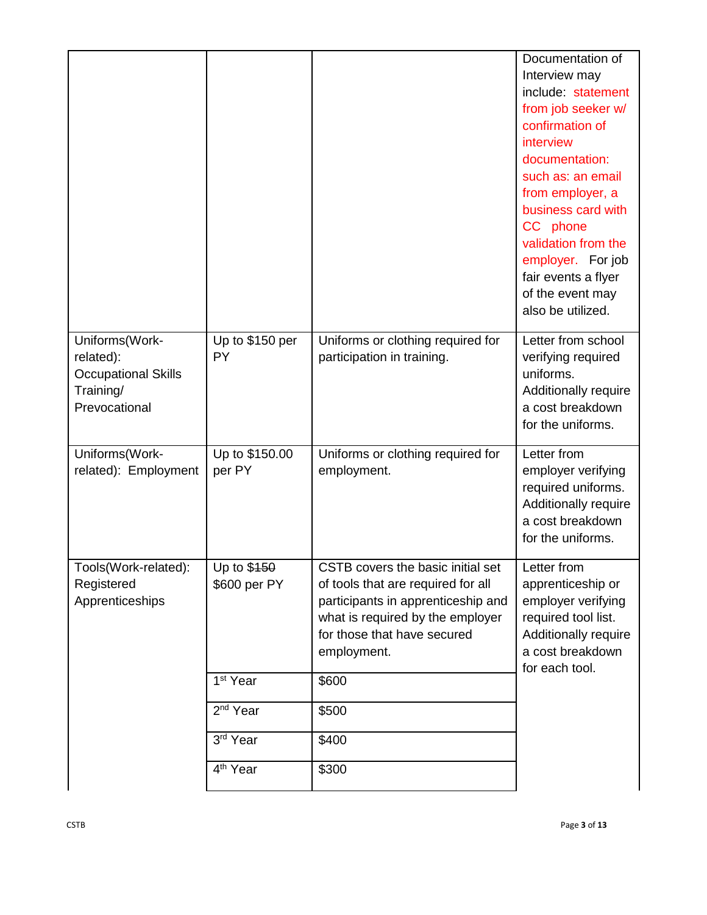|                                                                                         |                                              |                                                                                                                                                                                                 | Documentation of<br>Interview may<br>include: statement<br>from job seeker w/                                                                                                                         |
|-----------------------------------------------------------------------------------------|----------------------------------------------|-------------------------------------------------------------------------------------------------------------------------------------------------------------------------------------------------|-------------------------------------------------------------------------------------------------------------------------------------------------------------------------------------------------------|
|                                                                                         |                                              |                                                                                                                                                                                                 | confirmation of<br>interview                                                                                                                                                                          |
|                                                                                         |                                              |                                                                                                                                                                                                 | documentation:<br>such as: an email<br>from employer, a<br>business card with<br>CC phone<br>validation from the<br>employer. For job<br>fair events a flyer<br>of the event may<br>also be utilized. |
| Uniforms(Work-<br>related):<br><b>Occupational Skills</b><br>Training/<br>Prevocational | Up to \$150 per<br>PY                        | Uniforms or clothing required for<br>participation in training.                                                                                                                                 | Letter from school<br>verifying required<br>uniforms.<br>Additionally require<br>a cost breakdown<br>for the uniforms.                                                                                |
| Uniforms(Work-<br>related): Employment                                                  | Up to \$150.00<br>per PY                     | Uniforms or clothing required for<br>employment.                                                                                                                                                | Letter from<br>employer verifying<br>required uniforms.<br>Additionally require<br>a cost breakdown<br>for the uniforms.                                                                              |
| Tools(Work-related):<br>Registered<br>Apprenticeships                                   | Up to \$450<br>\$600 per PY                  | CSTB covers the basic initial set<br>of tools that are required for all<br>participants in apprenticeship and<br>what is required by the employer<br>for those that have secured<br>employment. | Letter from<br>apprenticeship or<br>employer verifying<br>required tool list.<br>Additionally require<br>a cost breakdown<br>for each tool.                                                           |
|                                                                                         | 1 <sup>st</sup> Year<br>2 <sup>nd</sup> Year | \$600<br>\$500                                                                                                                                                                                  |                                                                                                                                                                                                       |
|                                                                                         | 3rd Year                                     | \$400                                                                                                                                                                                           |                                                                                                                                                                                                       |
|                                                                                         | 4 <sup>th</sup> Year                         | \$300                                                                                                                                                                                           |                                                                                                                                                                                                       |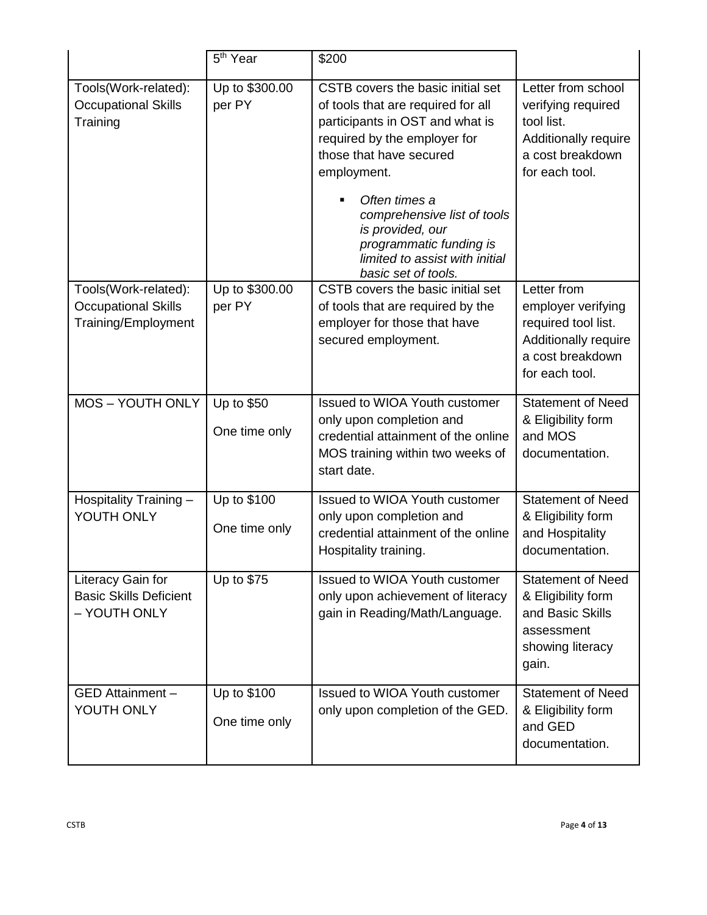|                                                                           | 5 <sup>th</sup> Year         | \$200                                                                                                                                                                                                                                                                                                                                        |                                                                                                                        |
|---------------------------------------------------------------------------|------------------------------|----------------------------------------------------------------------------------------------------------------------------------------------------------------------------------------------------------------------------------------------------------------------------------------------------------------------------------------------|------------------------------------------------------------------------------------------------------------------------|
| Tools(Work-related):<br><b>Occupational Skills</b><br>Training            | Up to \$300.00<br>per PY     | CSTB covers the basic initial set<br>of tools that are required for all<br>participants in OST and what is<br>required by the employer for<br>those that have secured<br>employment.<br>Often times a<br>comprehensive list of tools<br>is provided, our<br>programmatic funding is<br>limited to assist with initial<br>basic set of tools. | Letter from school<br>verifying required<br>tool list.<br>Additionally require<br>a cost breakdown<br>for each tool.   |
| Tools(Work-related):<br><b>Occupational Skills</b><br>Training/Employment | Up to \$300.00<br>per PY     | CSTB covers the basic initial set<br>of tools that are required by the<br>employer for those that have<br>secured employment.                                                                                                                                                                                                                | Letter from<br>employer verifying<br>required tool list.<br>Additionally require<br>a cost breakdown<br>for each tool. |
| <b>MOS-YOUTH ONLY</b>                                                     | Up to \$50<br>One time only  | <b>Issued to WIOA Youth customer</b><br>only upon completion and<br>credential attainment of the online<br>MOS training within two weeks of<br>start date.                                                                                                                                                                                   | <b>Statement of Need</b><br>& Eligibility form<br>and MOS<br>documentation.                                            |
| Hospitality Training -<br>YOUTH ONLY                                      | Up to \$100<br>One time only | Issued to WIOA Youth customer<br>only upon completion and<br>credential attainment of the online<br>Hospitality training.                                                                                                                                                                                                                    | <b>Statement of Need</b><br>& Eligibility form<br>and Hospitality<br>documentation.                                    |
| Literacy Gain for<br><b>Basic Skills Deficient</b><br>- YOUTH ONLY        | Up to \$75                   | Issued to WIOA Youth customer<br>only upon achievement of literacy<br>gain in Reading/Math/Language.                                                                                                                                                                                                                                         | <b>Statement of Need</b><br>& Eligibility form<br>and Basic Skills<br>assessment<br>showing literacy<br>gain.          |
| GED Attainment -<br>YOUTH ONLY                                            | Up to \$100<br>One time only | Issued to WIOA Youth customer<br>only upon completion of the GED.                                                                                                                                                                                                                                                                            | <b>Statement of Need</b><br>& Eligibility form<br>and GED<br>documentation.                                            |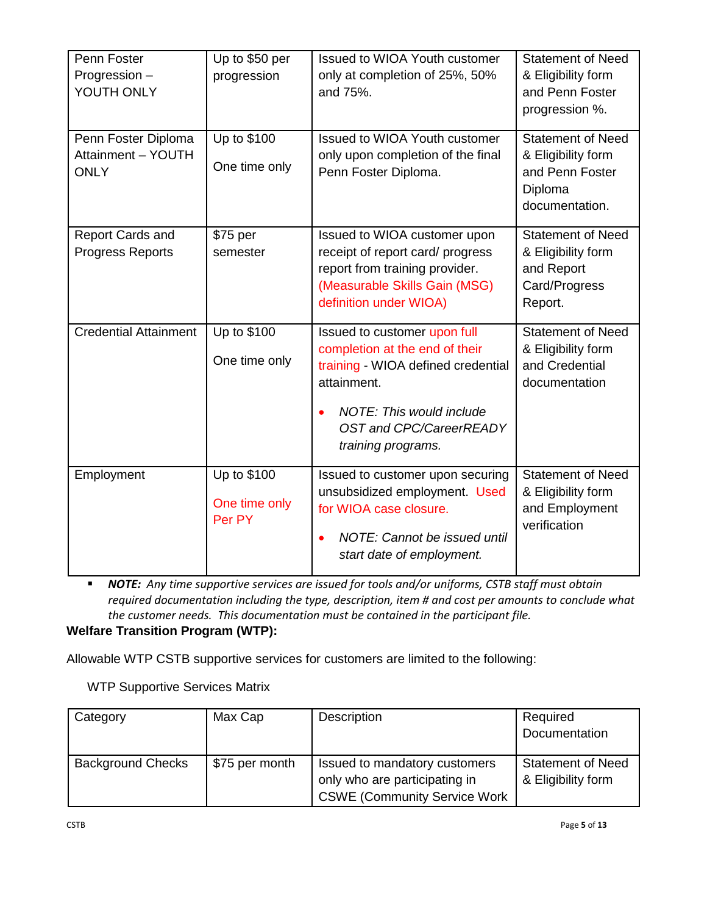| Penn Foster<br>Progression -<br>YOUTH ONLY               | Up to \$50 per<br>progression          | Issued to WIOA Youth customer<br>only at completion of 25%, 50%<br>and 75%.                                                                                                                             | <b>Statement of Need</b><br>& Eligibility form<br>and Penn Foster<br>progression %.            |
|----------------------------------------------------------|----------------------------------------|---------------------------------------------------------------------------------------------------------------------------------------------------------------------------------------------------------|------------------------------------------------------------------------------------------------|
| Penn Foster Diploma<br>Attainment - YOUTH<br><b>ONLY</b> | Up to \$100<br>One time only           | Issued to WIOA Youth customer<br>only upon completion of the final<br>Penn Foster Diploma.                                                                                                              | <b>Statement of Need</b><br>& Eligibility form<br>and Penn Foster<br>Diploma<br>documentation. |
| <b>Report Cards and</b><br><b>Progress Reports</b>       | \$75 per<br>semester                   | Issued to WIOA customer upon<br>receipt of report card/ progress<br>report from training provider.<br>(Measurable Skills Gain (MSG)<br>definition under WIOA)                                           | <b>Statement of Need</b><br>& Eligibility form<br>and Report<br>Card/Progress<br>Report.       |
| <b>Credential Attainment</b>                             | Up to \$100<br>One time only           | Issued to customer upon full<br>completion at the end of their<br>training - WIOA defined credential<br>attainment.<br>NOTE: This would include<br><b>OST and CPC/CareerREADY</b><br>training programs. | <b>Statement of Need</b><br>& Eligibility form<br>and Credential<br>documentation              |
| Employment                                               | Up to \$100<br>One time only<br>Per PY | Issued to customer upon securing<br>unsubsidized employment. Used<br>for WIOA case closure.<br>NOTE: Cannot be issued until<br>start date of employment.                                                | Statement of Need<br>& Eligibility form<br>and Employment<br>verification                      |

▪ *NOTE: Any time supportive services are issued for tools and/or uniforms, CSTB staff must obtain required documentation including the type, description, item # and cost per amounts to conclude what the customer needs. This documentation must be contained in the participant file.*

**Welfare Transition Program (WTP):**

Allowable WTP CSTB supportive services for customers are limited to the following:

WTP Supportive Services Matrix

| Category                 | Max Cap        | Description                                                                                            | Required<br>Documentation                      |
|--------------------------|----------------|--------------------------------------------------------------------------------------------------------|------------------------------------------------|
| <b>Background Checks</b> | \$75 per month | Issued to mandatory customers<br>only who are participating in<br><b>CSWE (Community Service Work)</b> | <b>Statement of Need</b><br>& Eligibility form |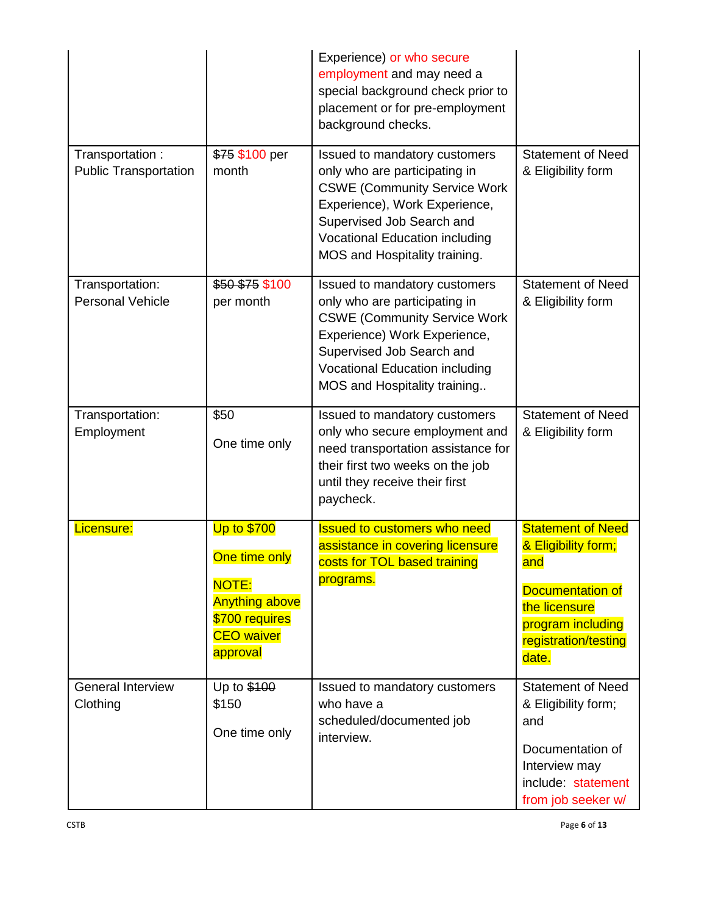|                                                 |                                                                                                                                 | Experience) or who secure<br>employment and may need a<br>special background check prior to<br>placement or for pre-employment<br>background checks.                                                                                          |                                                                                                                                                   |
|-------------------------------------------------|---------------------------------------------------------------------------------------------------------------------------------|-----------------------------------------------------------------------------------------------------------------------------------------------------------------------------------------------------------------------------------------------|---------------------------------------------------------------------------------------------------------------------------------------------------|
| Transportation:<br><b>Public Transportation</b> | \$75 \$100 per<br>month                                                                                                         | Issued to mandatory customers<br>only who are participating in<br><b>CSWE (Community Service Work</b><br>Experience), Work Experience,<br>Supervised Job Search and<br><b>Vocational Education including</b><br>MOS and Hospitality training. | <b>Statement of Need</b><br>& Eligibility form                                                                                                    |
| Transportation:<br><b>Personal Vehicle</b>      | \$50 \$75 \$100<br>per month                                                                                                    | Issued to mandatory customers<br>only who are participating in<br><b>CSWE (Community Service Work</b><br>Experience) Work Experience,<br>Supervised Job Search and<br><b>Vocational Education including</b><br>MOS and Hospitality training   | <b>Statement of Need</b><br>& Eligibility form                                                                                                    |
| Transportation:<br>Employment                   | \$50<br>One time only                                                                                                           | Issued to mandatory customers<br>only who secure employment and<br>need transportation assistance for<br>their first two weeks on the job<br>until they receive their first<br>paycheck.                                                      | <b>Statement of Need</b><br>& Eligibility form                                                                                                    |
| Licensure:                                      | <b>Up to \$700</b><br>One time only<br><b>NOTE:</b><br><b>Anything above</b><br>\$700 requires<br><b>CEO</b> waiver<br>approval | <b>Issued to customers who need</b><br>assistance in covering licensure<br>costs for TOL based training<br>programs.                                                                                                                          | <b>Statement of Need</b><br>& Eligibility form;<br>and<br>Documentation of<br>the licensure<br>program including<br>registration/testing<br>date. |
| <b>General Interview</b><br>Clothing            | Up to \$100<br>\$150<br>One time only                                                                                           | Issued to mandatory customers<br>who have a<br>scheduled/documented job<br>interview.                                                                                                                                                         | <b>Statement of Need</b><br>& Eligibility form;<br>and<br>Documentation of<br>Interview may<br>include: statement<br>from job seeker w/           |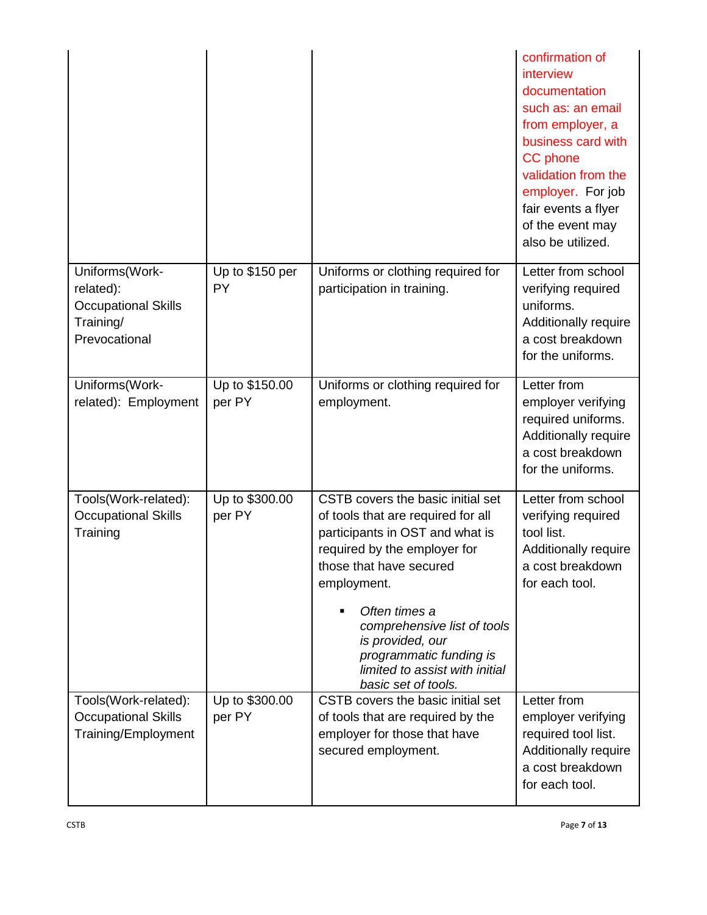|                                                                                         |                          |                                                                                                                                                                                                                                                                                                                                              | confirmation of<br>interview<br>documentation<br>such as: an email<br>from employer, a<br>business card with<br><b>CC</b> phone<br>validation from the<br>employer. For job<br>fair events a flyer<br>of the event may<br>also be utilized. |
|-----------------------------------------------------------------------------------------|--------------------------|----------------------------------------------------------------------------------------------------------------------------------------------------------------------------------------------------------------------------------------------------------------------------------------------------------------------------------------------|---------------------------------------------------------------------------------------------------------------------------------------------------------------------------------------------------------------------------------------------|
| Uniforms(Work-<br>related):<br><b>Occupational Skills</b><br>Training/<br>Prevocational | Up to \$150 per<br>PY    | Uniforms or clothing required for<br>participation in training.                                                                                                                                                                                                                                                                              | Letter from school<br>verifying required<br>uniforms.<br>Additionally require<br>a cost breakdown<br>for the uniforms.                                                                                                                      |
| Uniforms(Work-<br>related): Employment                                                  | Up to \$150.00<br>per PY | Uniforms or clothing required for<br>employment.                                                                                                                                                                                                                                                                                             | Letter from<br>employer verifying<br>required uniforms.<br>Additionally require<br>a cost breakdown<br>for the uniforms.                                                                                                                    |
| Tools(Work-related):<br><b>Occupational Skills</b><br>Training                          | Up to \$300.00<br>per PY | CSTB covers the basic initial set<br>of tools that are required for all<br>participants in OST and what is<br>required by the employer for<br>those that have secured<br>employment.<br>Often times a<br>comprehensive list of tools<br>is provided, our<br>programmatic funding is<br>limited to assist with initial<br>basic set of tools. | Letter from school<br>verifying required<br>tool list.<br>Additionally require<br>a cost breakdown<br>for each tool.                                                                                                                        |
| Tools(Work-related):<br><b>Occupational Skills</b><br>Training/Employment               | Up to \$300.00<br>per PY | CSTB covers the basic initial set<br>of tools that are required by the<br>employer for those that have<br>secured employment.                                                                                                                                                                                                                | Letter from<br>employer verifying<br>required tool list.<br>Additionally require<br>a cost breakdown<br>for each tool.                                                                                                                      |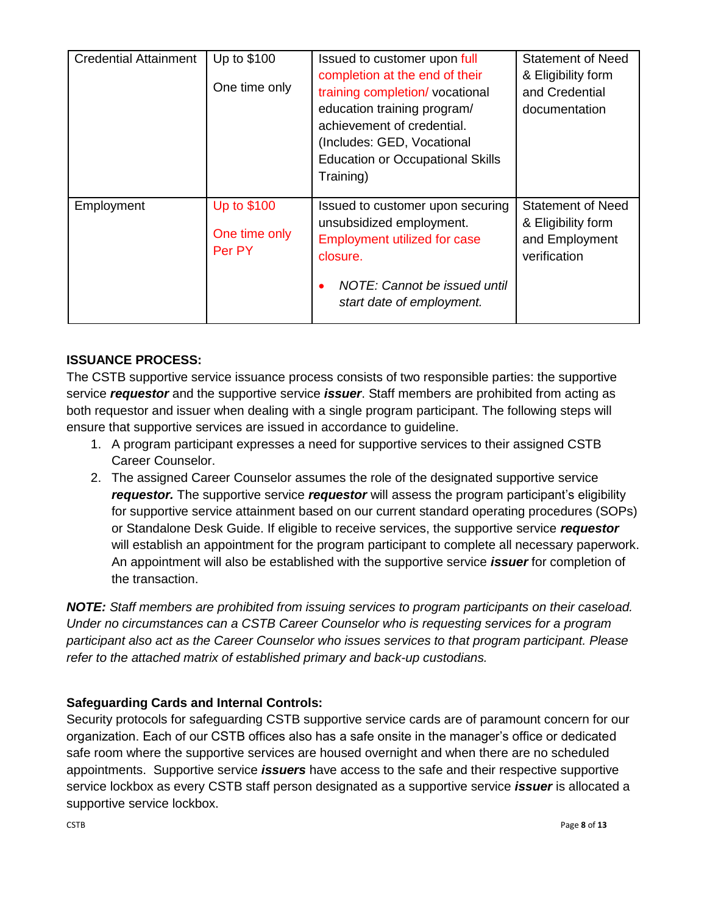| <b>Credential Attainment</b> | Up to \$100   | Issued to customer upon full                     | <b>Statement of Need</b> |
|------------------------------|---------------|--------------------------------------------------|--------------------------|
|                              |               | completion at the end of their                   | & Eligibility form       |
|                              | One time only | training completion/vocational<br>and Credential |                          |
|                              |               | education training program/                      | documentation            |
|                              |               | achievement of credential.                       |                          |
|                              |               | (Includes: GED, Vocational                       |                          |
|                              |               | <b>Education or Occupational Skills</b>          |                          |
|                              |               | Training)                                        |                          |
|                              |               |                                                  |                          |
| Employment                   | Up to \$100   | Issued to customer upon securing                 | <b>Statement of Need</b> |
|                              | One time only | unsubsidized employment.                         | & Eligibility form       |
|                              | Per PY        | <b>Employment utilized for case</b>              | and Employment           |
|                              |               | closure.                                         | verification             |
|                              |               | NOTE: Cannot be issued until                     |                          |
|                              |               | start date of employment.                        |                          |
|                              |               |                                                  |                          |

## **ISSUANCE PROCESS:**

The CSTB supportive service issuance process consists of two responsible parties: the supportive service *requestor* and the supportive service *issuer*. Staff members are prohibited from acting as both requestor and issuer when dealing with a single program participant. The following steps will ensure that supportive services are issued in accordance to guideline.

- 1. A program participant expresses a need for supportive services to their assigned CSTB Career Counselor.
- 2. The assigned Career Counselor assumes the role of the designated supportive service *requestor.* The supportive service *requestor* will assess the program participant's eligibility for supportive service attainment based on our current standard operating procedures (SOPs) or Standalone Desk Guide. If eligible to receive services, the supportive service *requestor*  will establish an appointment for the program participant to complete all necessary paperwork. An appointment will also be established with the supportive service *issuer* for completion of the transaction.

*NOTE: Staff members are prohibited from issuing services to program participants on their caseload. Under no circumstances can a CSTB Career Counselor who is requesting services for a program participant also act as the Career Counselor who issues services to that program participant. Please refer to the attached matrix of established primary and back-up custodians.*

## **Safeguarding Cards and Internal Controls:**

Security protocols for safeguarding CSTB supportive service cards are of paramount concern for our organization. Each of our CSTB offices also has a safe onsite in the manager's office or dedicated safe room where the supportive services are housed overnight and when there are no scheduled appointments. Supportive service *issuers* have access to the safe and their respective supportive service lockbox as every CSTB staff person designated as a supportive service *issuer* is allocated a supportive service lockbox.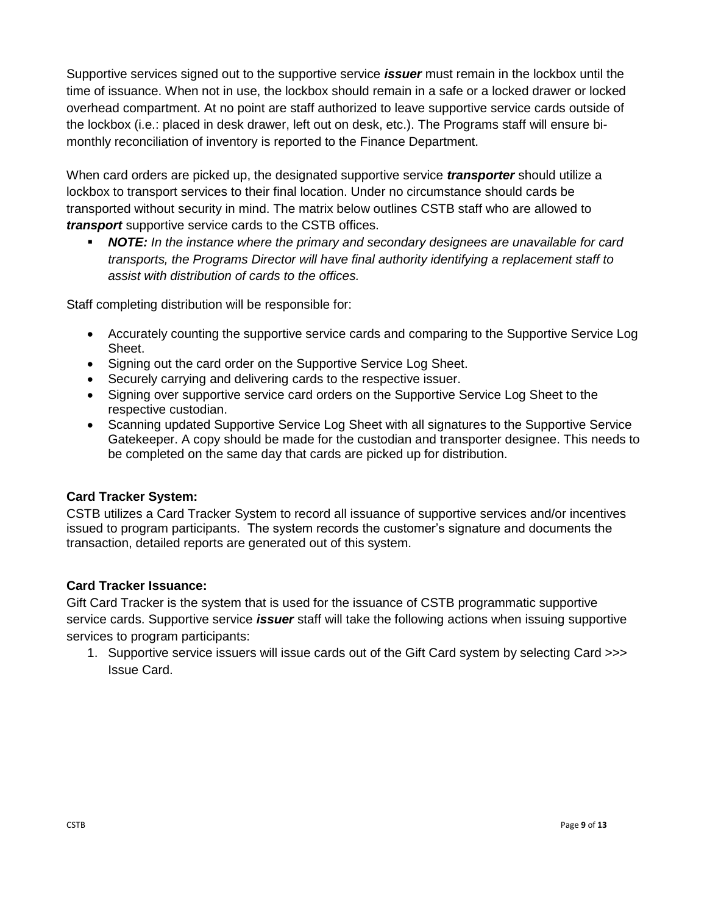Supportive services signed out to the supportive service *issuer* must remain in the lockbox until the time of issuance. When not in use, the lockbox should remain in a safe or a locked drawer or locked overhead compartment. At no point are staff authorized to leave supportive service cards outside of the lockbox (i.e.: placed in desk drawer, left out on desk, etc.). The Programs staff will ensure bimonthly reconciliation of inventory is reported to the Finance Department.

When card orders are picked up, the designated supportive service *transporter* should utilize a lockbox to transport services to their final location. Under no circumstance should cards be transported without security in mind. The matrix below outlines CSTB staff who are allowed to *transport* supportive service cards to the CSTB offices.

▪ *NOTE: In the instance where the primary and secondary designees are unavailable for card transports, the Programs Director will have final authority identifying a replacement staff to assist with distribution of cards to the offices.* 

Staff completing distribution will be responsible for:

- Accurately counting the supportive service cards and comparing to the Supportive Service Log Sheet.
- Signing out the card order on the Supportive Service Log Sheet.
- Securely carrying and delivering cards to the respective issuer.
- Signing over supportive service card orders on the Supportive Service Log Sheet to the respective custodian.
- Scanning updated Supportive Service Log Sheet with all signatures to the Supportive Service Gatekeeper. A copy should be made for the custodian and transporter designee. This needs to be completed on the same day that cards are picked up for distribution.

## **Card Tracker System:**

CSTB utilizes a Card Tracker System to record all issuance of supportive services and/or incentives issued to program participants. The system records the customer's signature and documents the transaction, detailed reports are generated out of this system.

## **Card Tracker Issuance:**

Gift Card Tracker is the system that is used for the issuance of CSTB programmatic supportive service cards. Supportive service *issuer* staff will take the following actions when issuing supportive services to program participants:

1. Supportive service issuers will issue cards out of the Gift Card system by selecting Card >>> Issue Card.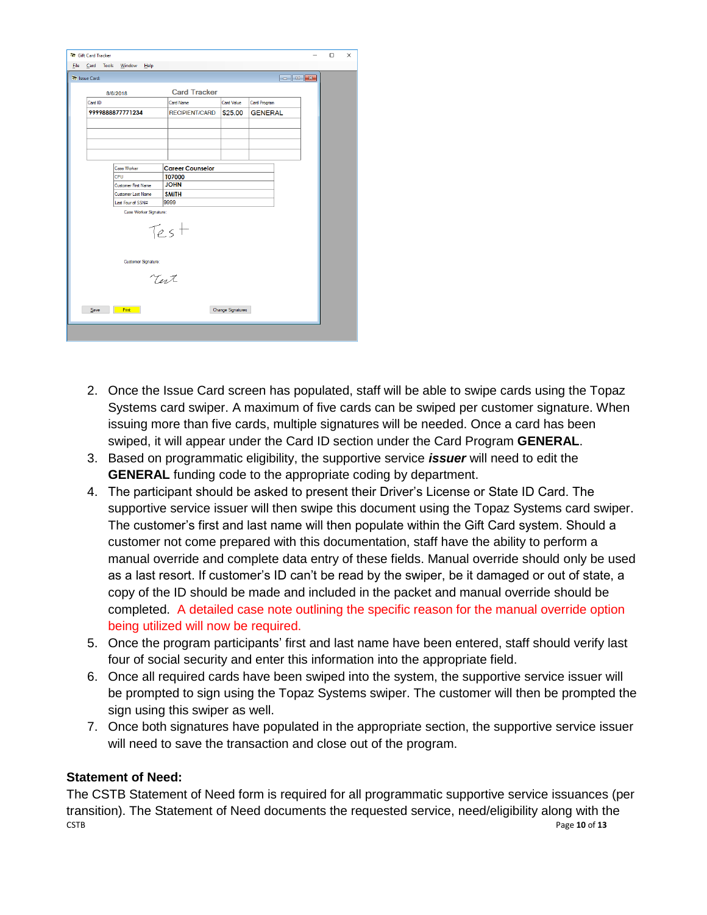| <b>Nr</b> Gift Card Tracker        |                            |                         |            |                |   | $\Box$ | $\times$ |
|------------------------------------|----------------------------|-------------------------|------------|----------------|---|--------|----------|
|                                    |                            |                         |            |                | - |        |          |
| Card Tools<br>Eile                 | Window<br>Help             |                         |            |                |   |        |          |
| <b>Art Issue Card:</b>             |                            |                         |            |                |   |        |          |
|                                    | 8/6/2018                   | <b>Card Tracker</b>     |            |                |   |        |          |
| Card ID                            |                            | Card Name               | Card Value | Card Program   |   |        |          |
|                                    | 9999888877771234           | <b>RECIPIENT/CARD</b>   | \$25.00    | <b>GENERAL</b> |   |        |          |
|                                    |                            |                         |            |                |   |        |          |
|                                    |                            |                         |            |                |   |        |          |
|                                    |                            |                         |            |                |   |        |          |
|                                    |                            |                         |            |                |   |        |          |
|                                    | Case Worker                | <b>Career Counselor</b> |            |                |   |        |          |
|                                    | CPU                        | <b>T07000</b>           |            |                |   |        |          |
|                                    | <b>Customer First Name</b> | <b>JOHN</b>             |            |                |   |        |          |
|                                    | <b>Customer Last Name</b>  | <b>SMITH</b>            |            |                |   |        |          |
| 9999<br>Last Four of SSN#          |                            |                         |            |                |   |        |          |
|                                    | Case Worker Signature:     |                         |            |                |   |        |          |
| Test                               |                            |                         |            |                |   |        |          |
| Customer Signature:                |                            |                         |            |                |   |        |          |
| Tert                               |                            |                         |            |                |   |        |          |
| Save<br>Print<br>Change Signatures |                            |                         |            |                |   |        |          |
|                                    |                            |                         |            |                |   |        |          |

- 2. Once the Issue Card screen has populated, staff will be able to swipe cards using the Topaz Systems card swiper. A maximum of five cards can be swiped per customer signature. When issuing more than five cards, multiple signatures will be needed. Once a card has been swiped, it will appear under the Card ID section under the Card Program **GENERAL**.
- 3. Based on programmatic eligibility, the supportive service *issuer* will need to edit the **GENERAL** funding code to the appropriate coding by department.
- 4. The participant should be asked to present their Driver's License or State ID Card. The supportive service issuer will then swipe this document using the Topaz Systems card swiper. The customer's first and last name will then populate within the Gift Card system. Should a customer not come prepared with this documentation, staff have the ability to perform a manual override and complete data entry of these fields. Manual override should only be used as a last resort. If customer's ID can't be read by the swiper, be it damaged or out of state, a copy of the ID should be made and included in the packet and manual override should be completed. A detailed case note outlining the specific reason for the manual override option being utilized will now be required.
- 5. Once the program participants' first and last name have been entered, staff should verify last four of social security and enter this information into the appropriate field.
- 6. Once all required cards have been swiped into the system, the supportive service issuer will be prompted to sign using the Topaz Systems swiper. The customer will then be prompted the sign using this swiper as well.
- 7. Once both signatures have populated in the appropriate section, the supportive service issuer will need to save the transaction and close out of the program.

## **Statement of Need:**

CSTB Page **10** of **13** The CSTB Statement of Need form is required for all programmatic supportive service issuances (per transition). The Statement of Need documents the requested service, need/eligibility along with the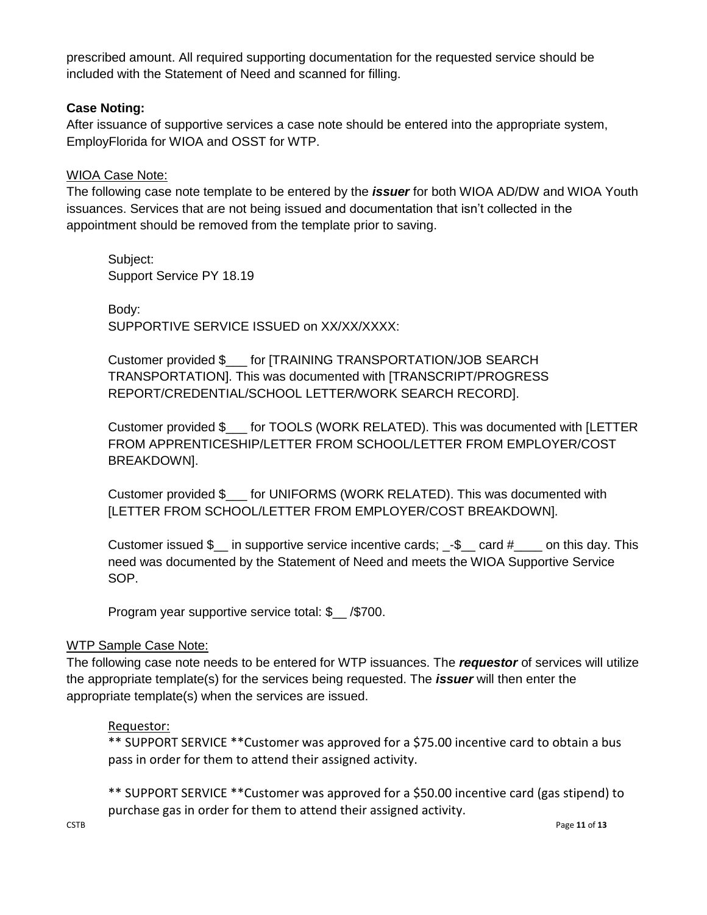prescribed amount. All required supporting documentation for the requested service should be included with the Statement of Need and scanned for filling.

## **Case Noting:**

After issuance of supportive services a case note should be entered into the appropriate system, EmployFlorida for WIOA and OSST for WTP.

## WIOA Case Note:

The following case note template to be entered by the *issuer* for both WIOA AD/DW and WIOA Youth issuances. Services that are not being issued and documentation that isn't collected in the appointment should be removed from the template prior to saving.

Subject: Support Service PY 18.19

Body: SUPPORTIVE SERVICE ISSUED on XX/XX/XXXX:

Customer provided \$\_\_\_ for [TRAINING TRANSPORTATION/JOB SEARCH TRANSPORTATION]. This was documented with [TRANSCRIPT/PROGRESS REPORT/CREDENTIAL/SCHOOL LETTER/WORK SEARCH RECORD].

Customer provided \$\_\_\_ for TOOLS (WORK RELATED). This was documented with [LETTER FROM APPRENTICESHIP/LETTER FROM SCHOOL/LETTER FROM EMPLOYER/COST BREAKDOWN].

Customer provided \$\_\_\_ for UNIFORMS (WORK RELATED). This was documented with [LETTER FROM SCHOOL/LETTER FROM EMPLOYER/COST BREAKDOWN].

Customer issued  $\$\$  in supportive service incentive cards;  $-\$$  card  $\#$  on this day. This need was documented by the Statement of Need and meets the WIOA Supportive Service SOP.

Program year supportive service total: \$ /\$700.

## WTP Sample Case Note:

The following case note needs to be entered for WTP issuances. The *requestor* of services will utilize the appropriate template(s) for the services being requested. The *issuer* will then enter the appropriate template(s) when the services are issued.

## Requestor:

\*\* SUPPORT SERVICE \*\*Customer was approved for a \$75.00 incentive card to obtain a bus pass in order for them to attend their assigned activity.

\*\* SUPPORT SERVICE \*\*Customer was approved for a \$50.00 incentive card (gas stipend) to purchase gas in order for them to attend their assigned activity.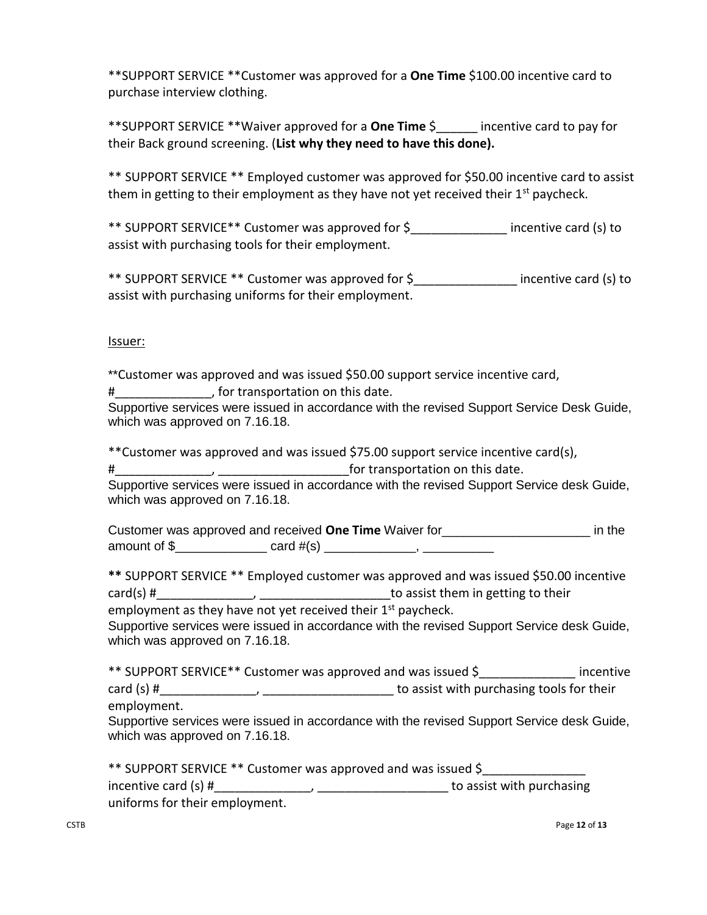\*\*SUPPORT SERVICE \*\*Customer was approved for a **One Time** \$100.00 incentive card to purchase interview clothing.

\*\*SUPPORT SERVICE \*\*Waiver approved for a **One Time** \$\_\_\_\_\_\_ incentive card to pay for their Back ground screening. (**List why they need to have this done).**

\*\* SUPPORT SERVICE \*\* Employed customer was approved for \$50.00 incentive card to assist them in getting to their employment as they have not yet received their  $1<sup>st</sup>$  paycheck.

\*\* SUPPORT SERVICE\*\* Customer was approved for \$\_\_\_\_\_\_\_\_\_\_\_\_\_\_ incentive card (s) to assist with purchasing tools for their employment.

\*\* SUPPORT SERVICE \*\* Customer was approved for \$\_\_\_\_\_\_\_\_\_\_\_\_\_\_\_ incentive card (s) to assist with purchasing uniforms for their employment.

## Issuer:

\*\*Customer was approved and was issued \$50.00 support service incentive card,

#\_\_\_\_\_\_\_\_\_\_\_\_\_\_, for transportation on this date.

Supportive services were issued in accordance with the revised Support Service Desk Guide, which was approved on 7.16.18.

\*\*Customer was approved and was issued \$75.00 support service incentive card(s),

#\_\_\_\_\_\_\_\_\_\_\_\_\_\_, \_\_\_\_\_\_\_\_\_\_\_\_\_\_\_\_\_\_\_for transportation on this date.

Supportive services were issued in accordance with the revised Support Service desk Guide, which was approved on 7.16.18.

Customer was approved and received **One Time** Waiver for\_\_\_\_\_\_\_\_\_\_\_\_\_\_\_\_\_\_\_\_\_ in the amount of \$\_\_\_\_\_\_\_\_\_\_\_\_\_\_\_\_ card #(s) \_\_\_\_\_\_\_\_\_\_\_\_\_\_\_\_, \_\_\_\_\_\_\_\_

**\*\*** SUPPORT SERVICE \*\* Employed customer was approved and was issued \$50.00 incentive  $card(s)$  # $\frac{$   $\qquad \qquad$   $\qquad \qquad$   $\qquad \qquad$   $\qquad \qquad$   $\qquad \qquad$   $\qquad \qquad$   $\qquad$   $\qquad$   $\qquad$   $\qquad$   $\qquad$   $\qquad$   $\qquad$   $\qquad$   $\qquad$   $\qquad$   $\qquad$   $\qquad$   $\qquad$   $\qquad$   $\qquad$   $\qquad$   $\qquad$   $\qquad$   $\qquad$   $\qquad$   $\qquad$   $\qquad$   $\qquad$   $\qquad$   $\qquad$   $\qquad$ employment as they have not yet received their  $1<sup>st</sup>$  paycheck.

Supportive services were issued in accordance with the revised Support Service desk Guide, which was approved on 7.16.18.

\*\* SUPPORT SERVICE\*\* Customer was approved and was issued \$\_\_\_\_\_\_\_\_\_\_\_\_\_\_ incentive card (s) # The cassist with purchasing tools for their employment.

Supportive services were issued in accordance with the revised Support Service desk Guide, which was approved on 7.16.18.

| ** SUPPORT SERVICE ** Customer was approved and was issued \$ |                           |
|---------------------------------------------------------------|---------------------------|
| incentive card (s) #                                          | to assist with purchasing |
| uniforms for their employment.                                |                           |